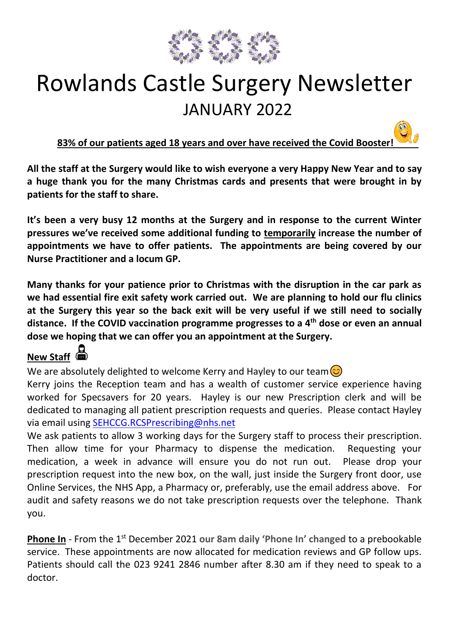

# Rowlands Castle Surgery Newsletter JANUARY 2022

**83% of our patients aged 18 years and over have received the Covid Booster!**

**All the staff at the Surgery would like to wish everyone a very Happy New Year and [to sa](https://pngimg.es/download/92897)y a huge thank you for the many Christmas cards and presents that were brought in by patients for the staff to share.** 

**It's been a very busy 12 months at the Surgery and in response to the current Winter pressures we've received some additional funding to temporarily increase the number of appointments we have to offer patients. The appointments are being covered by our Nurse Practitioner and a locum GP.**

**Many thanks for your patience prior to Christmas with the disruption in the car p[ark](https://creativecommons.org/licenses/by-nc/3.0/) as we had essential fire exit safety work carried out. We are planning to hold our flu clinics at the Surgery this year so the back exit will be very useful if we still need to socially distance. If the COVID vaccination programme progresses to a 4th dose or even an annual dose we hoping that we can offer you an appointment at the Surgery.**

### **New Staff**

We are absolutely delighted to welcome Kerry and Hayley to our team  $\circled{c}$ 

Kerry joins the Reception team and has a wealth of customer service experience having worked for Specsavers for 20 years. Hayley is our new Prescription clerk and will be dedicated to managing all patient prescription requests and queries. Please contact Hayley via email using [SEHCCG.RCSPrescribing@nhs.net](mailto:SEHCCG.RCSPrescribing@nhs.net)

We ask patients to allow 3 working days for the Surgery staff to process their prescription. Then allow time for your Pharmacy to dispense the medication. Requesting your medication, a week in advance will ensure you do not run out. Please drop your prescription request into the new box, on the wall, just inside the Surgery front door, use Online Services, the NHS App, a Pharmacy or, preferably, use the email address above. For audit and safety reasons we do not take prescription requests over the telephone. Thank you.

**Phone In** - From the 1<sup>st</sup> December 2021 our 8am daily 'Phone In' changed to a prebookable service. These appointments are now allocated for medication reviews and GP follow ups. Patients should call the 023 9241 2846 number after 8.30 am if they need to speak to a doctor.